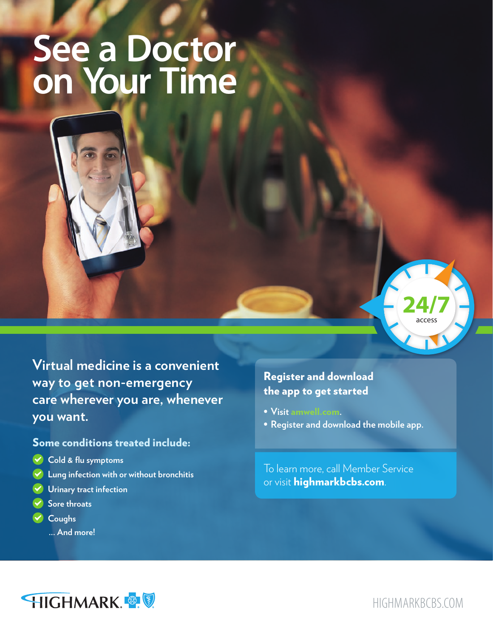## **See a Doctor on Your Time**



**Virtual medicine is a convenient way to get non-emergency care wherever you are, whenever you want.** 

## Some conditions treated include:

- **Cold & flu symptoms**
- **Lung infection with or without bronchitis**
- **Urinary tract infection**
- **Sore throats**
- **Coughs**
	- **... And more!**

## Register and download the app to get started

- **• Visit** [amwell.com](http://amwell.com)**.**
- **• Register and download the mobile app.**

To learn more, call Member Service or visit **[highmarkbcbs.com](http://highmarkbcbs.com)**.



[HIGHMARKBCBS.COM](http://HighmarkBCBS.com)